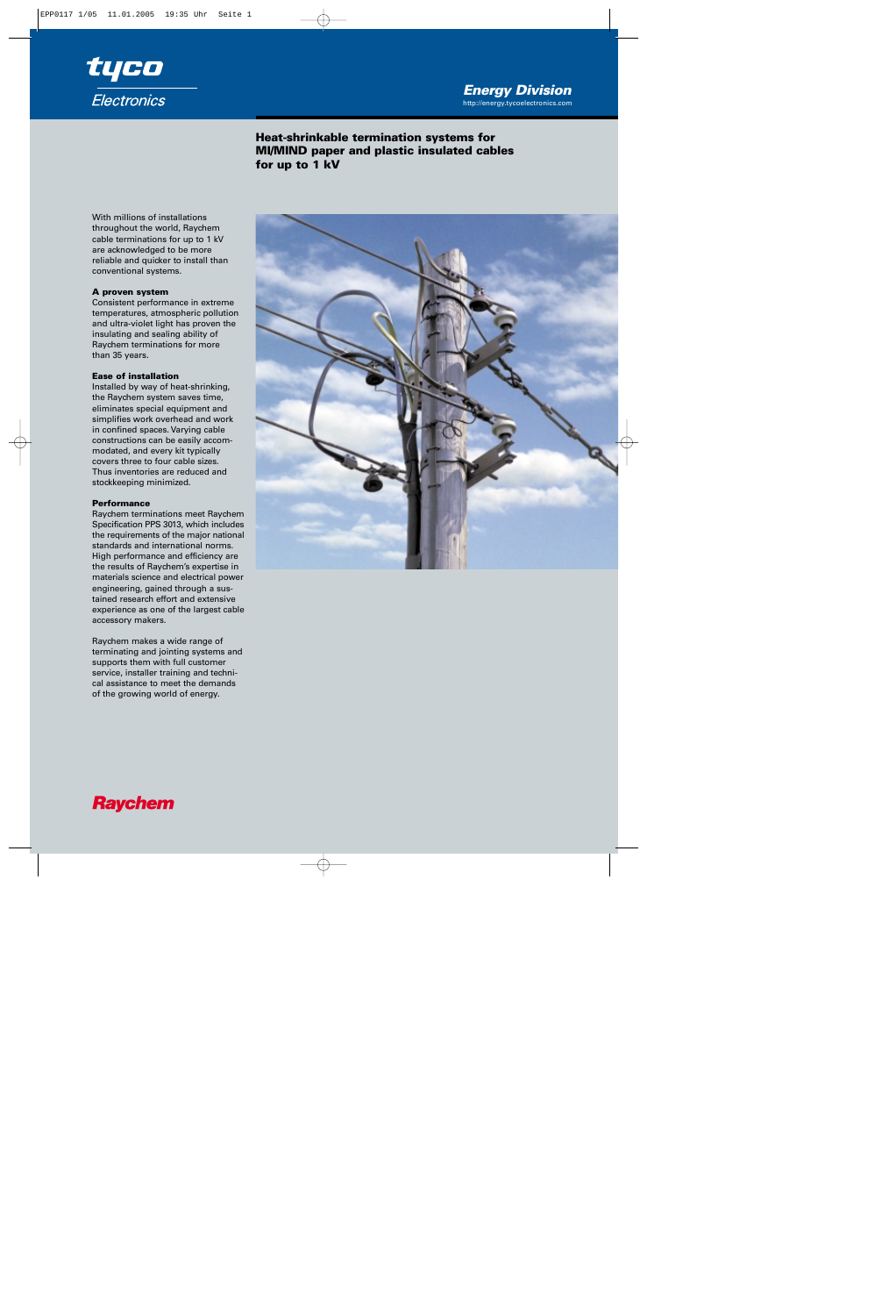## http://energy.tycoelectronics.com *Energy Division*



**Heat-shrinkable termination systems for MI/MIND paper and plastic insulated cables for up to 1 kV**

With millions of installations throughout the world, Raychem cable terminations for up to 1 kV are acknowledged to be more reliable and quicker to install than conventional systems.

### **A proven system**

Consistent performance in extreme temperatures, atmospheric pollution and ultra-violet light has proven the insulating and sealing ability of Raychem terminations for more than 35 years.

#### **Ease of installation**

Installed by way of heat-shrinking, the Raychem system saves time, eliminates special equipment and simplifies work overhead and work in confined spaces. Varying cable constructions can be easily accommodated, and every kit typically covers three to four cable sizes. Thus inventories are reduced and stockkeeping minimized.

#### **Performance**

Raychem terminations meet Raychem Specification PPS 3013, which includes the requirements of the major national standards and international norms. High performance and efficiency are the results of Raychem's expertise in materials science and electrical power engineering, gained through a sustained research effort and extensive experience as one of the largest cable accessory makers.

Raychem makes a wide range of terminating and jointing systems and supports them with full customer service, installer training and technical assistance to meet the demands of the growing world of energy.